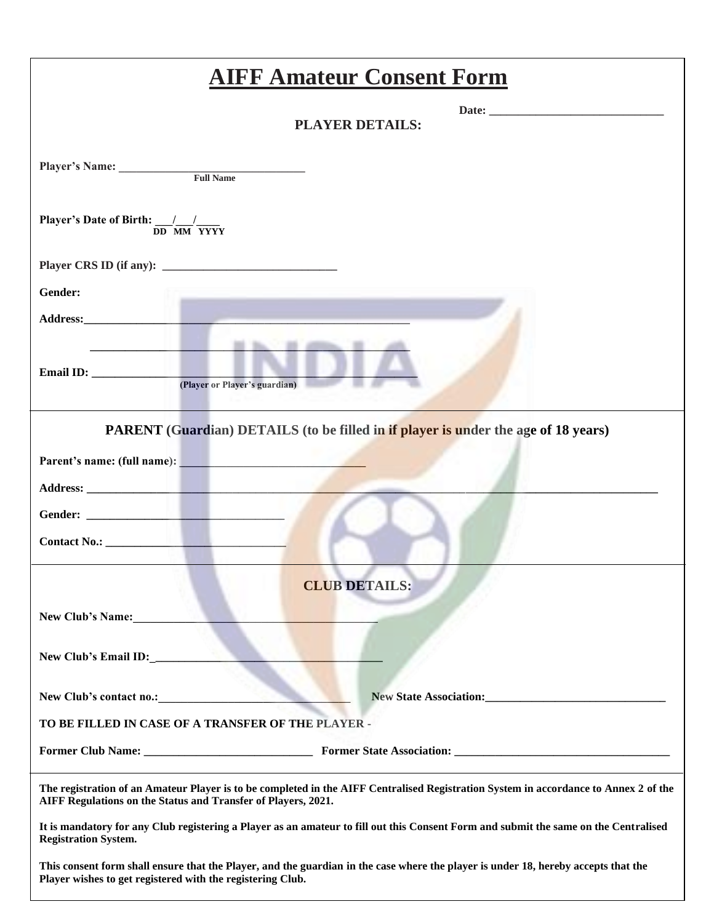| <b>AIFF Amateur Consent Form</b>                                                                                                                                                                      |
|-------------------------------------------------------------------------------------------------------------------------------------------------------------------------------------------------------|
| <b>PLAYER DETAILS:</b>                                                                                                                                                                                |
| Player's Name: Full Name                                                                                                                                                                              |
| Player's Date of Birth: $\frac{1}{DD}$ MM YYYY                                                                                                                                                        |
|                                                                                                                                                                                                       |
| Gender:                                                                                                                                                                                               |
|                                                                                                                                                                                                       |
| the company of the company of the com-<br>(Player or Player's guardian)                                                                                                                               |
| <b>PARENT</b> (Guardian) DETAILS (to be filled in if player is under the age of 18 years)                                                                                                             |
| Parent's name: (full name):                                                                                                                                                                           |
|                                                                                                                                                                                                       |
|                                                                                                                                                                                                       |
|                                                                                                                                                                                                       |
| <b>CLUB DETAILS:</b>                                                                                                                                                                                  |
| <b>New Club's Name:</b>                                                                                                                                                                               |
| New Club's Email ID:                                                                                                                                                                                  |
| New State Association:<br><u>New State Association</u> :<br>New Club's contact no.:                                                                                                                   |
| TO BE FILLED IN CASE OF A TRANSFER OF THE PLAYER -                                                                                                                                                    |
|                                                                                                                                                                                                       |
| The registration of an Amateur Player is to be completed in the AIFF Centralised Registration System in accordance to Annex 2 of the<br>AIFF Regulations on the Status and Transfer of Players, 2021. |
| It is mandatory for any Club registering a Player as an amateur to fill out this Consent Form and submit the same on the Centralised<br><b>Registration System.</b>                                   |
| This consent form shall ensure that the Player, and the guardian in the case where the player is under 18, hereby accepts that the<br>Player wishes to get registered with the registering Club.      |